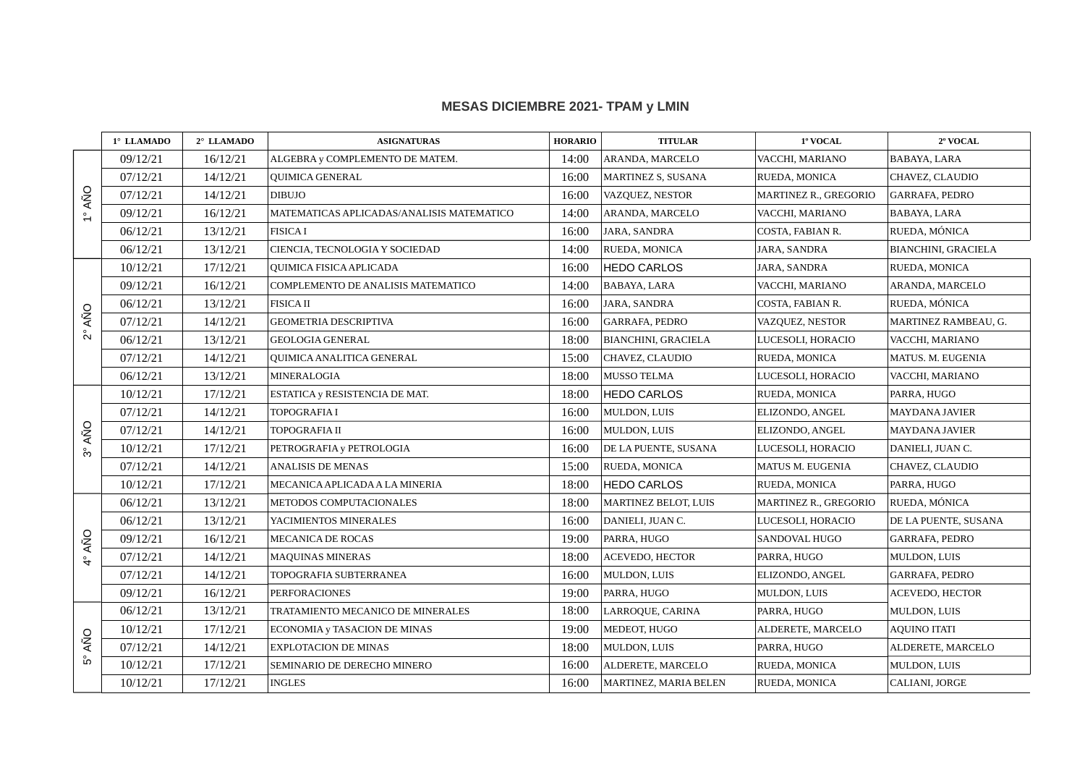## **MESAS DICIEMBRE 2021- TPAM y LMIN**

|                                 | 1° LLAMADO | 2° LLAMADO | <b>ASIGNATURAS</b>                        | <b>HORARIO</b> | <b>TITULAR</b>             | 1º VOCAL              | 2º VOCAL                   |
|---------------------------------|------------|------------|-------------------------------------------|----------------|----------------------------|-----------------------|----------------------------|
| $1^\circ$ AÑO                   | 09/12/21   | 16/12/21   | ALGEBRA y COMPLEMENTO DE MATEM.           | 14:00          | ARANDA, MARCELO            | VACCHI, MARIANO       | <b>BABAYA, LARA</b>        |
|                                 | 07/12/21   | 14/12/21   | <b>QUIMICA GENERAL</b>                    | 16:00          | <b>MARTINEZ S, SUSANA</b>  | RUEDA, MONICA         | CHAVEZ, CLAUDIO            |
|                                 | 07/12/21   | 14/12/21   | <b>DIBUJO</b>                             | 16:00          | VAZQUEZ, NESTOR            | MARTINEZ R., GREGORIO | GARRAFA, PEDRO             |
|                                 | 09/12/21   | 16/12/21   | MATEMATICAS APLICADAS/ANALISIS MATEMATICO | 14:00          | ARANDA, MARCELO            | VACCHI, MARIANO       | BABAYA, LARA               |
|                                 | 06/12/21   | 13/12/21   | <b>FISICAI</b>                            | 16:00          | JARA, SANDRA               | COSTA, FABIAN R.      | RUEDA, MÓNICA              |
|                                 | 06/12/21   | 13/12/21   | CIENCIA, TECNOLOGIA Y SOCIEDAD            | 14:00          | RUEDA, MONICA              | JARA, SANDRA          | <b>BIANCHINI, GRACIELA</b> |
| AÑO<br>$\stackrel{\circ}{\sim}$ | 10/12/21   | 17/12/21   | QUIMICA FISICA APLICADA                   | 16:00          | <b>HEDO CARLOS</b>         | JARA, SANDRA          | RUEDA, MONICA              |
|                                 | 09/12/21   | 16/12/21   | COMPLEMENTO DE ANALISIS MATEMATICO        | 14:00          | BABAYA, LARA               | VACCHI, MARIANO       | ARANDA, MARCELO            |
|                                 | 06/12/21   | 13/12/21   | <b>FISICA II</b>                          | 16:00          | JARA, SANDRA               | COSTA, FABIAN R.      | RUEDA, MÓNICA              |
|                                 | 07/12/21   | 14/12/21   | <b>GEOMETRIA DESCRIPTIVA</b>              | 16:00          | GARRAFA, PEDRO             | VAZQUEZ, NESTOR       | MARTINEZ RAMBEAU, G.       |
|                                 | 06/12/21   | 13/12/21   | <b>GEOLOGIA GENERAL</b>                   | 18:00          | <b>BIANCHINI, GRACIELA</b> | LUCESOLI, HORACIO     | VACCHI, MARIANO            |
|                                 | 07/12/21   | 14/12/21   | QUIMICA ANALITICA GENERAL                 | 15:00          | CHAVEZ, CLAUDIO            | RUEDA, MONICA         | MATUS. M. EUGENIA          |
|                                 | 06/12/21   | 13/12/21   | <b>MINERALOGIA</b>                        | 18:00          | MUSSO TELMA                | LUCESOLI, HORACIO     | VACCHI, MARIANO            |
| AÑO<br>ကိ                       | 10/12/21   | 17/12/21   | <b>ESTATICA y RESISTENCIA DE MAT.</b>     | 18:00          | <b>HEDO CARLOS</b>         | RUEDA, MONICA         | PARRA, HUGO                |
|                                 | 07/12/21   | 14/12/21   | <b>TOPOGRAFIA I</b>                       | 16:00          | MULDON, LUIS               | ELIZONDO, ANGEL       | <b>MAYDANA JAVIER</b>      |
|                                 | 07/12/21   | 14/12/21   | TOPOGRAFIA II                             | 16:00          | MULDON, LUIS               | ELIZONDO, ANGEL       | <b>MAYDANA JAVIER</b>      |
|                                 | 10/12/21   | 17/12/21   | PETROGRAFIA y PETROLOGIA                  | 16:00          | DE LA PUENTE, SUSANA       | LUCESOLI, HORACIO     | DANIELI, JUAN C.           |
|                                 | 07/12/21   | 14/12/21   | <b>ANALISIS DE MENAS</b>                  | 15:00          | RUEDA, MONICA              | MATUS M. EUGENIA      | CHAVEZ, CLAUDIO            |
|                                 | 10/12/21   | 17/12/21   | MECANICA APLICADA A LA MINERIA            | 18:00          | <b>HEDO CARLOS</b>         | RUEDA, MONICA         | PARRA, HUGO                |
|                                 | 06/12/21   | 13/12/21   | METODOS COMPUTACIONALES                   | 18:00          | MARTINEZ BELOT, LUIS       | MARTINEZ R., GREGORIO | RUEDA, MÓNICA              |
|                                 | 06/12/21   | 13/12/21   | YACIMIENTOS MINERALES                     | 16:00          | DANIELI, JUAN C.           | LUCESOLI, HORACIO     | DE LA PUENTE, SUSANA       |
| AÑO<br>ू                        | 09/12/21   | 16/12/21   | <b>MECANICA DE ROCAS</b>                  | 19:00          | PARRA, HUGO                | SANDOVAL HUGO         | GARRAFA, PEDRO             |
|                                 | 07/12/21   | 14/12/21   | <b>MAQUINAS MINERAS</b>                   | 18:00          | <b>ACEVEDO, HECTOR</b>     | PARRA, HUGO           | MULDON, LUIS               |
|                                 | 07/12/21   | 14/12/21   | TOPOGRAFIA SUBTERRANEA                    | 16:00          | <b>MULDON, LUIS</b>        | ELIZONDO, ANGEL       | <b>GARRAFA, PEDRO</b>      |
|                                 | 09/12/21   | 16/12/21   | <b>PERFORACIONES</b>                      | 19:00          | PARRA, HUGO                | MULDON, LUIS          | <b>ACEVEDO, HECTOR</b>     |
| AÑO<br>ů٦                       | 06/12/21   | 13/12/21   | TRATAMIENTO MECANICO DE MINERALES         | 18:00          | LARROQUE, CARINA           | PARRA, HUGO           | MULDON, LUIS               |
|                                 | 10/12/21   | 17/12/21   | ECONOMIA y TASACION DE MINAS              | 19:00          | MEDEOT, HUGO               | ALDERETE, MARCELO     | <b>AQUINO ITATI</b>        |
|                                 | 07/12/21   | 14/12/21   | <b>EXPLOTACION DE MINAS</b>               | 18:00          | <b>MULDON, LUIS</b>        | PARRA, HUGO           | ALDERETE, MARCELO          |
|                                 | 10/12/21   | 17/12/21   | SEMINARIO DE DERECHO MINERO               | 16:00          | ALDERETE, MARCELO          | RUEDA, MONICA         | MULDON, LUIS               |
|                                 | 10/12/21   | 17/12/21   | <b>INGLES</b>                             | 16:00          | MARTINEZ, MARIA BELEN      | RUEDA, MONICA         | CALIANI, JORGE             |